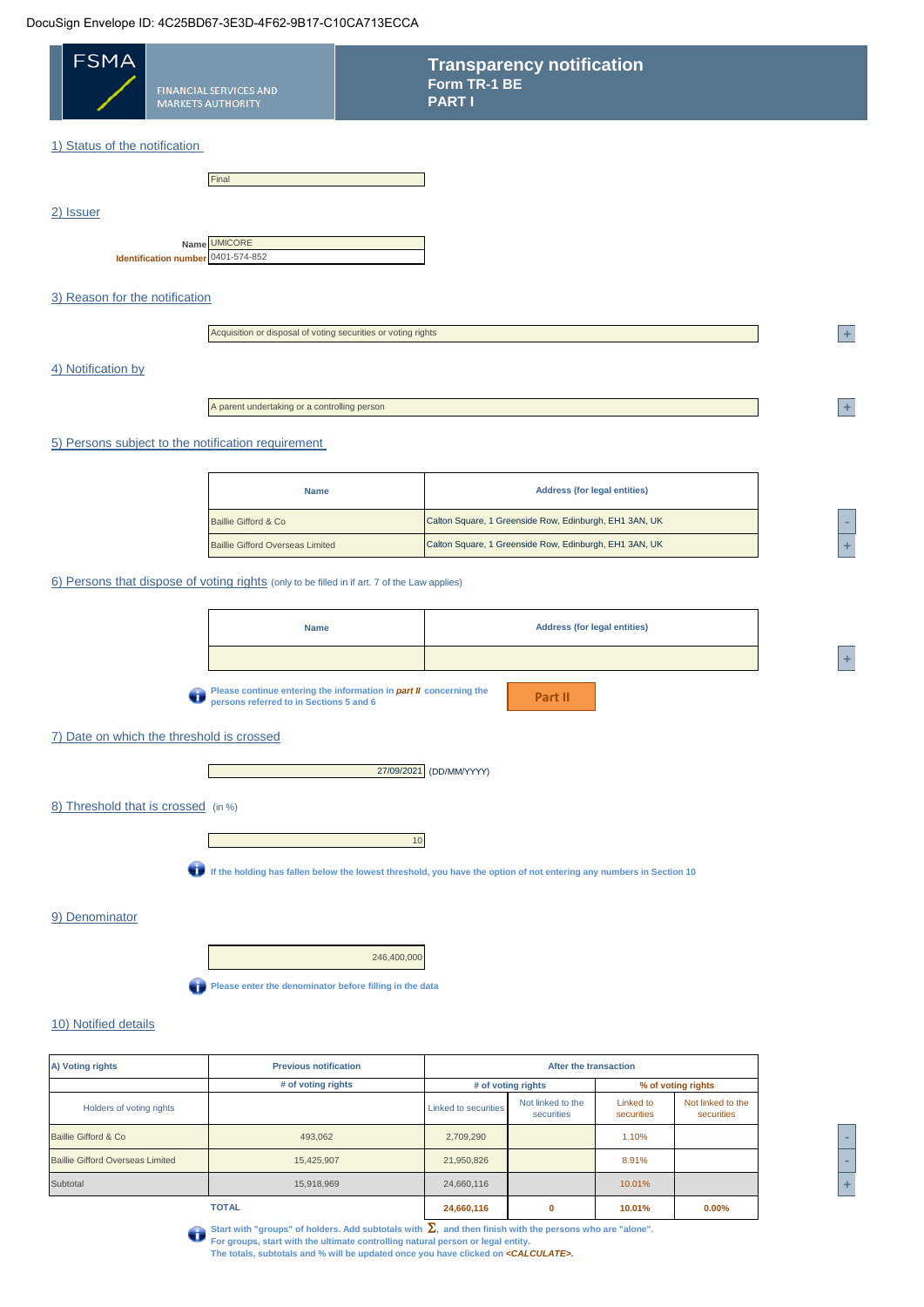## DocuSign Envelope ID: 4C25BD67-3E3D-4F62-9B17-C10CA713ECCA

÷

| <b>FSMA</b><br><b>FINANCIAL SERVICES AND</b><br><b>MARKETS AUTHORITY</b>                     | <b>Transparency notification</b><br>Form TR-1 BE<br><b>PARTI</b>                                                    |
|----------------------------------------------------------------------------------------------|---------------------------------------------------------------------------------------------------------------------|
| 1) Status of the notification                                                                |                                                                                                                     |
|                                                                                              |                                                                                                                     |
| Final                                                                                        |                                                                                                                     |
| 2) Issuer                                                                                    |                                                                                                                     |
| <b>UMICORE</b><br>Name<br>Identification number 0401-574-852                                 |                                                                                                                     |
|                                                                                              |                                                                                                                     |
| 3) Reason for the notification                                                               |                                                                                                                     |
| Acquisition or disposal of voting securities or voting rights                                | $\pm$                                                                                                               |
|                                                                                              |                                                                                                                     |
| 4) Notification by                                                                           |                                                                                                                     |
| A parent undertaking or a controlling person                                                 | ÷.                                                                                                                  |
| 5) Persons subject to the notification requirement                                           |                                                                                                                     |
|                                                                                              |                                                                                                                     |
| <b>Name</b>                                                                                  | <b>Address (for legal entities)</b>                                                                                 |
| Baillie Gifford & Co                                                                         | Calton Square, 1 Greenside Row, Edinburgh, EH1 3AN, UK                                                              |
| <b>Baillie Gifford Overseas Limited</b>                                                      | Calton Square, 1 Greenside Row, Edinburgh, EH1 3AN, UK                                                              |
| 6) Persons that dispose of voting rights (only to be filled in if art. 7 of the Law applies) |                                                                                                                     |
| <b>Name</b>                                                                                  | <b>Address (for legal entities)</b>                                                                                 |
|                                                                                              |                                                                                                                     |
| persons referred to in Sections 5 and 6                                                      | Please continue entering the information in part II concerning the<br>Part II                                       |
| 7) Date on which the threshold is crossed                                                    |                                                                                                                     |
|                                                                                              | 27/09/2021 (DD/MM/YYYY)                                                                                             |
| 8) Threshold that is crossed (in %)                                                          |                                                                                                                     |
|                                                                                              | $10$                                                                                                                |
|                                                                                              | If the holding has fallen below the lowest threshold, you have the option of not entering any numbers in Section 10 |
| 9) Denominator                                                                               |                                                                                                                     |
|                                                                                              | 246,400,000                                                                                                         |
| Please enter the denominator before filling in the data                                      |                                                                                                                     |
| 10) Notified details                                                                         |                                                                                                                     |

| A) Voting rights                        | <b>Previous notification</b> | After the transaction |                                 |                         |                                 |       |
|-----------------------------------------|------------------------------|-----------------------|---------------------------------|-------------------------|---------------------------------|-------|
|                                         | # of voting rights           |                       | # of voting rights              |                         | % of voting rights              |       |
| Holders of voting rights                |                              | Linked to securities  | Not linked to the<br>securities | Linked to<br>securities | Not linked to the<br>securities |       |
| Baillie Gifford & Co                    | 493,062                      | 2,709,290             |                                 | 1.10%                   |                                 |       |
| <b>Baillie Gifford Overseas Limited</b> | 15,425,907                   | 21,950,826            |                                 | 8.91%                   |                                 | -     |
| Subtotal                                | 15,918,969                   | 24,660,116            |                                 | 10.01%                  |                                 | $\pm$ |
|                                         | <b>TOTAL</b>                 | 24,660,116            |                                 | 10.01%                  | $0.00\%$                        |       |

| <b>STATE OF STATE OF STATE OF STATE OF STATE OF STATE OF STATE OF STATE OF STATE OF STATE OF STATE OF STATE OF S</b> |  |
|----------------------------------------------------------------------------------------------------------------------|--|
|                                                                                                                      |  |



Start with "groups" of holders. Add subtotals with  $\sum$ , and then finish with the persons who are "alone".<br>For groups, start with the ultimate controlling natural person or legal entity.<br>The totals, subtotals and % will b